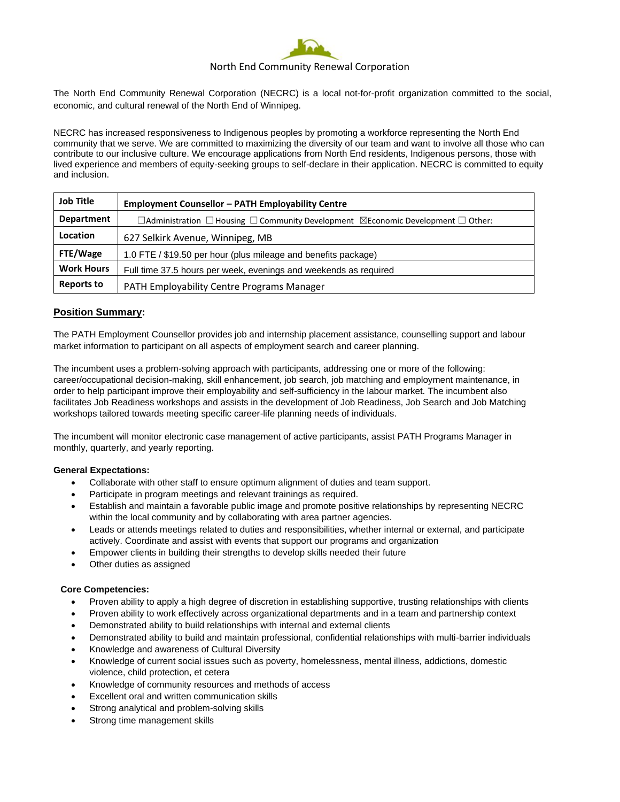

## North End Community Renewal Corporation

The North End Community Renewal Corporation (NECRC) is a local not-for-profit organization committed to the social, economic, and cultural renewal of the North End of Winnipeg.

NECRC has increased responsiveness to Indigenous peoples by promoting a workforce representing the North End community that we serve. We are committed to maximizing the diversity of our team and want to involve all those who can contribute to our inclusive culture. We encourage applications from North End residents, Indigenous persons, those with lived experience and members of equity-seeking groups to self-declare in their application. NECRC is committed to equity and inclusion.

| <b>Job Title</b>  | <b>Employment Counsellor - PATH Employability Centre</b>                                                    |
|-------------------|-------------------------------------------------------------------------------------------------------------|
| <b>Department</b> | $\Box$ Administration $\Box$ Housing $\Box$ Community Development $\Box$ Economic Development $\Box$ Other: |
| Location          | 627 Selkirk Avenue, Winnipeg, MB                                                                            |
| FTE/Wage          | 1.0 FTE / \$19.50 per hour (plus mileage and benefits package)                                              |
| <b>Work Hours</b> | Full time 37.5 hours per week, evenings and weekends as required                                            |
| <b>Reports to</b> | <b>PATH Employability Centre Programs Manager</b>                                                           |

# **Position Summary:**

The PATH Employment Counsellor provides job and internship placement assistance, counselling support and labour market information to participant on all aspects of employment search and career planning.

The incumbent uses a problem-solving approach with participants, addressing one or more of the following: career/occupational decision-making, skill enhancement, job search, job matching and employment maintenance, in order to help participant improve their employability and self-sufficiency in the labour market. The incumbent also facilitates Job Readiness workshops and assists in the development of Job Readiness, Job Search and Job Matching workshops tailored towards meeting specific career-life planning needs of individuals.

The incumbent will monitor electronic case management of active participants, assist PATH Programs Manager in monthly, quarterly, and yearly reporting.

#### **General Expectations:**

- Collaborate with other staff to ensure optimum alignment of duties and team support.
- Participate in program meetings and relevant trainings as required.
- Establish and maintain a favorable public image and promote positive relationships by representing NECRC within the local community and by collaborating with area partner agencies.
- Leads or attends meetings related to duties and responsibilities, whether internal or external, and participate actively. Coordinate and assist with events that support our programs and organization
- Empower clients in building their strengths to develop skills needed their future
- Other duties as assigned

#### **Core Competencies:**

- Proven ability to apply a high degree of discretion in establishing supportive, trusting relationships with clients
- Proven ability to work effectively across organizational departments and in a team and partnership context
- Demonstrated ability to build relationships with internal and external clients
- Demonstrated ability to build and maintain professional, confidential relationships with multi-barrier individuals
- Knowledge and awareness of Cultural Diversity
- Knowledge of current social issues such as poverty, homelessness, mental illness, addictions, domestic violence, child protection, et cetera
- Knowledge of community resources and methods of access
- Excellent oral and written communication skills
- Strong analytical and problem-solving skills
- Strong time management skills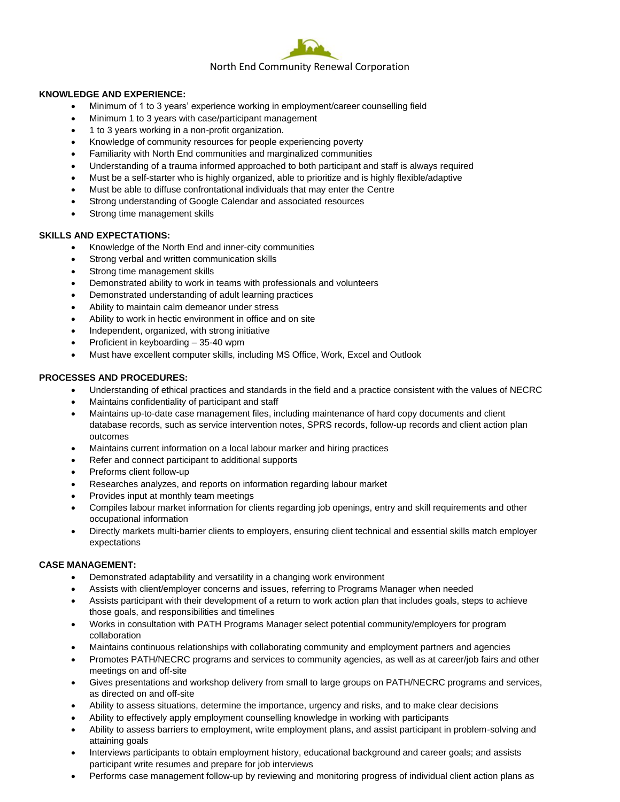

#### **KNOWLEDGE AND EXPERIENCE:**

- Minimum of 1 to 3 years' experience working in employment/career counselling field
- Minimum 1 to 3 years with case/participant management
- 1 to 3 years working in a non-profit organization.
- Knowledge of community resources for people experiencing poverty
- Familiarity with North End communities and marginalized communities
- Understanding of a trauma informed approached to both participant and staff is always required
- Must be a self-starter who is highly organized, able to prioritize and is highly flexible/adaptive
- Must be able to diffuse confrontational individuals that may enter the Centre
- Strong understanding of Google Calendar and associated resources
- Strong time management skills

## **SKILLS AND EXPECTATIONS:**

- Knowledge of the North End and inner-city communities
- Strong verbal and written communication skills
- Strong time management skills
- Demonstrated ability to work in teams with professionals and volunteers
- Demonstrated understanding of adult learning practices
- Ability to maintain calm demeanor under stress
- Ability to work in hectic environment in office and on site
- Independent, organized, with strong initiative
- Proficient in keyboarding 35-40 wpm
- Must have excellent computer skills, including MS Office, Work, Excel and Outlook

## **PROCESSES AND PROCEDURES:**

- Understanding of ethical practices and standards in the field and a practice consistent with the values of NECRC
- Maintains confidentiality of participant and staff
- Maintains up-to-date case management files, including maintenance of hard copy documents and client database records, such as service intervention notes, SPRS records, follow-up records and client action plan outcomes
- Maintains current information on a local labour marker and hiring practices
- Refer and connect participant to additional supports
- Preforms client follow-up
- Researches analyzes, and reports on information regarding labour market
- Provides input at monthly team meetings
- Compiles labour market information for clients regarding job openings, entry and skill requirements and other occupational information
- Directly markets multi-barrier clients to employers, ensuring client technical and essential skills match employer expectations

### **CASE MANAGEMENT:**

- Demonstrated adaptability and versatility in a changing work environment
- Assists with client/employer concerns and issues, referring to Programs Manager when needed
- Assists participant with their development of a return to work action plan that includes goals, steps to achieve those goals, and responsibilities and timelines
- Works in consultation with PATH Programs Manager select potential community/employers for program collaboration
- Maintains continuous relationships with collaborating community and employment partners and agencies
- Promotes PATH/NECRC programs and services to community agencies, as well as at career/job fairs and other meetings on and off-site
- Gives presentations and workshop delivery from small to large groups on PATH/NECRC programs and services, as directed on and off-site
- Ability to assess situations, determine the importance, urgency and risks, and to make clear decisions
- Ability to effectively apply employment counselling knowledge in working with participants
- Ability to assess barriers to employment, write employment plans, and assist participant in problem-solving and attaining goals
- Interviews participants to obtain employment history, educational background and career goals; and assists participant write resumes and prepare for job interviews
- Performs case management follow-up by reviewing and monitoring progress of individual client action plans as